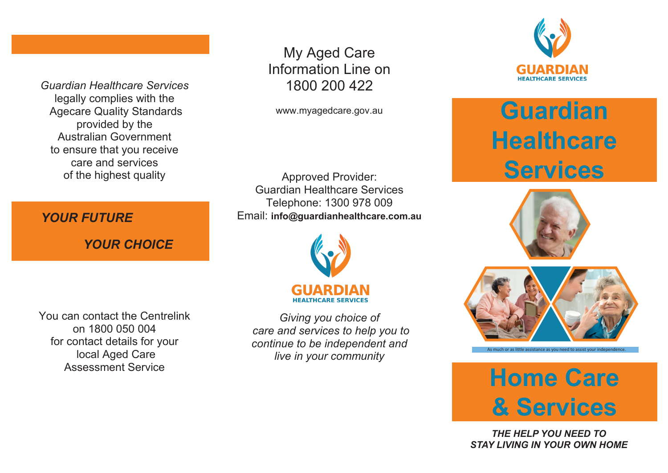*Guardian Healthcare Services* legally complies with the Agecare Quality Standards provided by the Australian Government to ensure that you receive care and services of the highest quality

*YOUR FUTURE YOUR FUTURE*

 *YOUR CHOICE YOUR CHOICE*

My Aged Care Information Line on 1800 200 422

www.myagedcare.gov.au

Approved Provider: Guardian Healthcare Services Telephone: 1300 978 009 Email: **info@guardianhealthcare.com.au**



You can contact the Centrelink on 1800 050 004 for contact details for your local Aged Care Assessment Service

*Giving you choice of care and services to help you to continue to be independent and live in your community*



Guardian **Guardian Healthcare** A**EA CLIENT HANDBOOK Services Healthcare**





or as little assistance as you need to assist your



' *the help you need to THE HELP YOU NEED TO stay living in your own home' STAY LIVING IN YOUR OWN HOME*